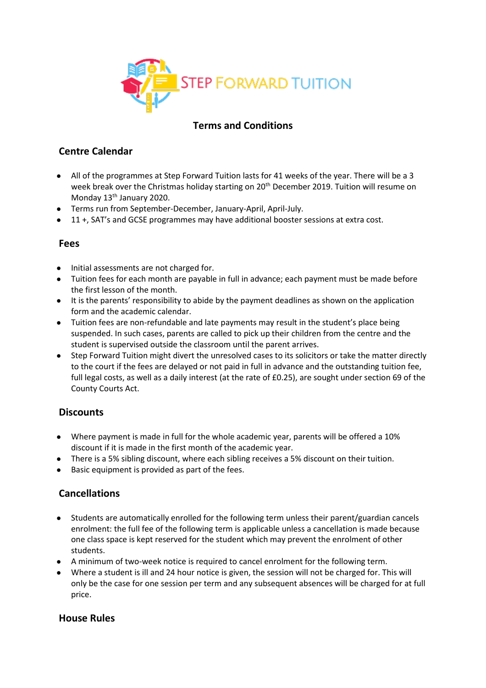

# **Terms and Conditions**

# **Centre Calendar**

- All of the programmes at Step Forward Tuition lasts for 41 weeks of the year. There will be a 3 week break over the Christmas holiday starting on 20<sup>th</sup> December 2019. Tuition will resume on Monday 13<sup>th</sup> January 2020.
- Terms run from September-December, January-April, April-July.
- 11 +, SAT's and GCSE programmes may have additional booster sessions at extra cost.

#### **Fees**

- Initial assessments are not charged for.
- Tuition fees for each month are payable in full in advance; each payment must be made before the first lesson of the month.
- It is the parents' responsibility to abide by the payment deadlines as shown on the application form and the academic calendar.
- Tuition fees are non-refundable and late payments may result in the student's place being suspended. In such cases, parents are called to pick up their children from the centre and the student is supervised outside the classroom until the parent arrives.
- Step Forward Tuition might divert the unresolved cases to its solicitors or take the matter directly to the court if the fees are delayed or not paid in full in advance and the outstanding tuition fee, full legal costs, as well as a daily interest (at the rate of £0.25), are sought under section 69 of the County Courts Act.

# **Discounts**

- Where payment is made in full for the whole academic year, parents will be offered a 10% discount if it is made in the first month of the academic year.
- There is a 5% sibling discount, where each sibling receives a 5% discount on their tuition.
- Basic equipment is provided as part of the fees.

# **Cancellations**

- Students are automatically enrolled for the following term unless their parent/guardian cancels enrolment: the full fee of the following term is applicable unless a cancellation is made because one class space is kept reserved for the student which may prevent the enrolment of other students.
- A minimum of two-week notice is required to cancel enrolment for the following term.
- Where a student is ill and 24 hour notice is given, the session will not be charged for. This will only be the case for one session per term and any subsequent absences will be charged for at full price.

# **House Rules**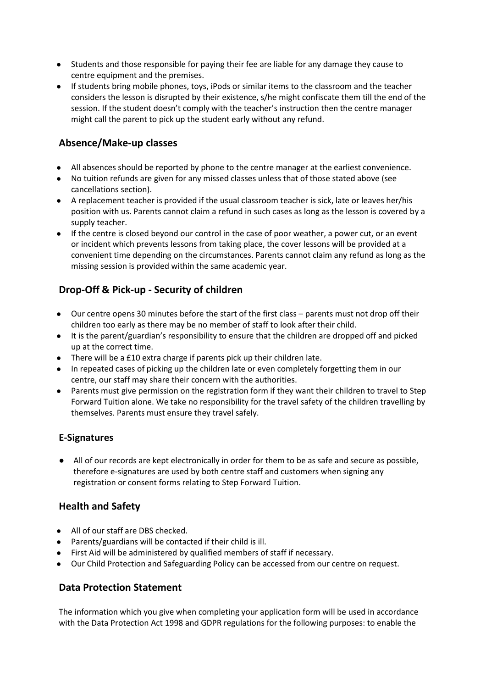- Students and those responsible for paying their fee are liable for any damage they cause to centre equipment and the premises.
- If students bring mobile phones, toys, iPods or similar items to the classroom and the teacher considers the lesson is disrupted by their existence, s/he might confiscate them till the end of the session. If the student doesn't comply with the teacher's instruction then the centre manager might call the parent to pick up the student early without any refund.

# **Absence/Make-up classes**

- All absences should be reported by phone to the centre manager at the earliest convenience.
- No tuition refunds are given for any missed classes unless that of those stated above (see cancellations section).
- A replacement teacher is provided if the usual classroom teacher is sick, late or leaves her/his position with us. Parents cannot claim a refund in such cases as long as the lesson is covered by a supply teacher.
- If the centre is closed beyond our control in the case of poor weather, a power cut, or an event or incident which prevents lessons from taking place, the cover lessons will be provided at a convenient time depending on the circumstances. Parents cannot claim any refund as long as the missing session is provided within the same academic year.

# **Drop-Off & Pick-up - Security of children**

- Our centre opens 30 minutes before the start of the first class parents must not drop off their children too early as there may be no member of staff to look after their child.
- It is the parent/guardian's responsibility to ensure that the children are dropped off and picked up at the correct time.
- There will be a £10 extra charge if parents pick up their children late.
- In repeated cases of picking up the children late or even completely forgetting them in our centre, our staff may share their concern with the authorities.
- Parents must give permission on the registration form if they want their children to travel to Step Forward Tuition alone. We take no responsibility for the travel safety of the children travelling by themselves. Parents must ensure they travel safely.

# **E-Signatures**

● All of our records are kept electronically in order for them to be as safe and secure as possible, therefore e-signatures are used by both centre staff and customers when signing any registration or consent forms relating to Step Forward Tuition.

# **Health and Safety**

- All of our staff are DBS checked.
- Parents/guardians will be contacted if their child is ill.
- First Aid will be administered by qualified members of staff if necessary.
- Our Child Protection and Safeguarding Policy can be accessed from our centre on request.

# **Data Protection Statement**

The information which you give when completing your application form will be used in accordance with the Data Protection Act 1998 and GDPR regulations for the following purposes: to enable the